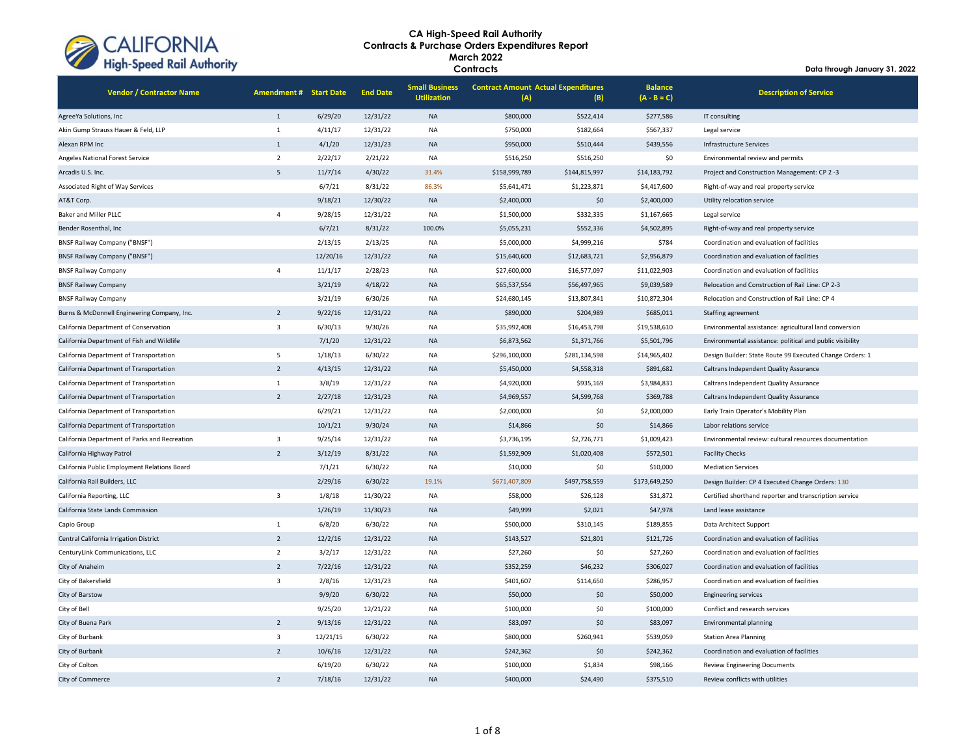

| <b>Vendor / Contractor Name</b>               | <b>Amendment # Start Date</b> |          | <b>End Date</b> | <b>Small Business</b><br><b>Utilization</b> | <b>Contract Amount Actual Expenditures</b><br>(A) | (B)           | <b>Balance</b><br>$(A - B = C)$ | <b>Description of Service</b>                             |
|-----------------------------------------------|-------------------------------|----------|-----------------|---------------------------------------------|---------------------------------------------------|---------------|---------------------------------|-----------------------------------------------------------|
| AgreeYa Solutions, Inc                        | $\mathbf{1}$                  | 6/29/20  | 12/31/22        | <b>NA</b>                                   | \$800,000                                         | \$522,414     | \$277,586                       | IT consulting                                             |
| Akin Gump Strauss Hauer & Feld, LLP           | $\mathbf{1}$                  | 4/11/17  | 12/31/22        | <b>NA</b>                                   | \$750,000                                         | \$182,664     | \$567,337                       | Legal service                                             |
| Alexan RPM Inc                                | $\mathbf{1}$                  | 4/1/20   | 12/31/23        | $\sf NA$                                    | \$950,000                                         | \$510,444     | \$439,556                       | Infrastructure Services                                   |
| Angeles National Forest Service               | $\overline{2}$                | 2/22/17  | 2/21/22         | <b>NA</b>                                   | \$516,250                                         | \$516,250     | \$0                             | Environmental review and permits                          |
| Arcadis U.S. Inc.                             | 5                             | 11/7/14  | 4/30/22         | 31.4%                                       | \$158,999,789                                     | \$144,815,997 | \$14,183,792                    | Project and Construction Management: CP 2-3               |
| Associated Right of Way Services              |                               | 6/7/21   | 8/31/22         | 86.3%                                       | \$5,641,471                                       | \$1,223,871   | \$4,417,600                     | Right-of-way and real property service                    |
| AT&T Corp.                                    |                               | 9/18/21  | 12/30/22        | <b>NA</b>                                   | \$2,400,000                                       | \$0           | \$2,400,000                     | Utility relocation service                                |
| Baker and Miller PLLC                         | $\Delta$                      | 9/28/15  | 12/31/22        | NA                                          | \$1,500,000                                       | \$332,335     | \$1,167,665                     | Legal service                                             |
| Bender Rosenthal, Inc.                        |                               | 6/7/21   | 8/31/22         | 100.0%                                      | \$5,055,231                                       | \$552,336     | \$4,502,895                     | Right-of-way and real property service                    |
| <b>BNSF Railway Company ("BNSF")</b>          |                               | 2/13/15  | 2/13/25         | <b>NA</b>                                   | \$5,000,000                                       | \$4,999,216   | \$784                           | Coordination and evaluation of facilities                 |
| <b>BNSF Railway Company ("BNSF")</b>          |                               | 12/20/16 | 12/31/22        | <b>NA</b>                                   | \$15,640,600                                      | \$12,683,721  | \$2,956,879                     | Coordination and evaluation of facilities                 |
| <b>BNSF Railway Company</b>                   | $\overline{4}$                | 11/1/17  | 2/28/23         | <b>NA</b>                                   | \$27,600,000                                      | \$16,577,097  | \$11,022,903                    | Coordination and evaluation of facilities                 |
| <b>BNSF Railway Company</b>                   |                               | 3/21/19  | 4/18/22         | <b>NA</b>                                   | \$65,537,554                                      | \$56,497,965  | \$9,039,589                     | Relocation and Construction of Rail Line: CP 2-3          |
| <b>BNSF Railway Company</b>                   |                               | 3/21/19  | 6/30/26         | <b>NA</b>                                   | \$24,680,145                                      | \$13,807,841  | \$10,872,304                    | Relocation and Construction of Rail Line: CP 4            |
| Burns & McDonnell Engineering Company, Inc.   | $\overline{2}$                | 9/22/16  | 12/31/22        | <b>NA</b>                                   | \$890,000                                         | \$204,989     | \$685,011                       | Staffing agreement                                        |
| California Department of Conservation         | 3                             | 6/30/13  | 9/30/26         | <b>NA</b>                                   | \$35,992,408                                      | \$16,453,798  | \$19,538,610                    | Environmental assistance: agricultural land conversion    |
| California Department of Fish and Wildlife    |                               | 7/1/20   | 12/31/22        | <b>NA</b>                                   | \$6,873,562                                       | \$1,371,766   | \$5,501,796                     | Environmental assistance: political and public visibility |
| California Department of Transportation       | 5                             | 1/18/13  | 6/30/22         | <b>NA</b>                                   | \$296,100,000                                     | \$281,134,598 | \$14,965,402                    | Design Builder: State Route 99 Executed Change Orders: 1  |
| California Department of Transportation       | $\overline{2}$                | 4/13/15  | 12/31/22        | <b>NA</b>                                   | \$5,450,000                                       | \$4,558,318   | \$891,682                       | Caltrans Independent Quality Assurance                    |
| California Department of Transportation       | $\mathbf{1}$                  | 3/8/19   | 12/31/22        | <b>NA</b>                                   | \$4,920,000                                       | \$935,169     | \$3,984,831                     | Caltrans Independent Quality Assurance                    |
| California Department of Transportation       | $\overline{2}$                | 2/27/18  | 12/31/23        | <b>NA</b>                                   | \$4,969,557                                       | \$4,599,768   | \$369,788                       | Caltrans Independent Quality Assurance                    |
| California Department of Transportation       |                               | 6/29/21  | 12/31/22        | <b>NA</b>                                   | \$2,000,000                                       | \$0           | \$2,000,000                     | Early Train Operator's Mobility Plan                      |
| California Department of Transportation       |                               | 10/1/21  | 9/30/24         | <b>NA</b>                                   | \$14,866                                          | \$0           | \$14,866                        | Labor relations service                                   |
| California Department of Parks and Recreation | $\overline{\mathbf{3}}$       | 9/25/14  | 12/31/22        | <b>NA</b>                                   | \$3,736,195                                       | \$2,726,771   | \$1,009,423                     | Environmental review: cultural resources documentation    |
| California Highway Patrol                     | $\overline{2}$                | 3/12/19  | 8/31/22         | <b>NA</b>                                   | \$1,592,909                                       | \$1,020,408   | \$572,501                       | <b>Facility Checks</b>                                    |
| California Public Employment Relations Board  |                               | 7/1/21   | 6/30/22         | <b>NA</b>                                   | \$10,000                                          | \$0           | \$10,000                        | <b>Mediation Services</b>                                 |
| California Rail Builders, LLC                 |                               | 2/29/16  | 6/30/22         | 19.1%                                       | \$671,407,809                                     | \$497,758,559 | \$173,649,250                   | Design Builder: CP 4 Executed Change Orders: 130          |
| California Reporting, LLC                     | $\overline{\mathbf{3}}$       | 1/8/18   | 11/30/22        | <b>NA</b>                                   | \$58,000                                          | \$26,128      | \$31,872                        | Certified shorthand reporter and transcription service    |
| California State Lands Commission             |                               | 1/26/19  | 11/30/23        | <b>NA</b>                                   | \$49,999                                          | \$2,021       | \$47,978                        | Land lease assistance                                     |
| Capio Group                                   | $\mathbf{1}$                  | 6/8/20   | 6/30/22         | <b>NA</b>                                   | \$500,000                                         | \$310,145     | \$189,855                       | Data Architect Support                                    |
| Central California Irrigation District        | $\overline{2}$                | 12/2/16  | 12/31/22        | <b>NA</b>                                   | \$143,527                                         | \$21,801      | \$121,726                       | Coordination and evaluation of facilities                 |
| CenturyLink Communications, LLC               | $\overline{2}$                | 3/2/17   | 12/31/22        | <b>NA</b>                                   | \$27,260                                          | \$0           | \$27,260                        | Coordination and evaluation of facilities                 |
| City of Anaheim                               | $\overline{2}$                | 7/22/16  | 12/31/22        | <b>NA</b>                                   | \$352,259                                         | \$46,232      | \$306,027                       | Coordination and evaluation of facilities                 |
| City of Bakersfield                           | $\overline{3}$                | 2/8/16   | 12/31/23        | <b>NA</b>                                   | \$401,607                                         | \$114,650     | \$286,957                       | Coordination and evaluation of facilities                 |
| City of Barstow                               |                               | 9/9/20   | 6/30/22         | <b>NA</b>                                   | \$50,000                                          | \$0           | \$50,000                        | <b>Engineering services</b>                               |
| City of Bell                                  |                               | 9/25/20  | 12/21/22        | <b>NA</b>                                   | \$100,000                                         | \$0           | \$100,000                       | Conflict and research services                            |
| City of Buena Park                            | $\overline{2}$                | 9/13/16  | 12/31/22        | <b>NA</b>                                   | \$83,097                                          | \$0           | \$83,097                        | <b>Environmental planning</b>                             |
| City of Burbank                               | $\overline{\mathbf{3}}$       | 12/21/15 | 6/30/22         | <b>NA</b>                                   | \$800,000                                         | \$260,941     | \$539,059                       | <b>Station Area Planning</b>                              |
| City of Burbank                               | $\overline{2}$                | 10/6/16  | 12/31/22        | <b>NA</b>                                   | \$242,362                                         | \$0           | \$242,362                       | Coordination and evaluation of facilities                 |
| City of Colton                                |                               | 6/19/20  | 6/30/22         | <b>NA</b>                                   | \$100,000                                         | \$1,834       | \$98,166                        | <b>Review Engineering Documents</b>                       |
| City of Commerce                              | $\overline{2}$                | 7/18/16  | 12/31/22        | <b>NA</b>                                   | \$400,000                                         | \$24,490      | \$375.510                       | Review conflicts with utilities                           |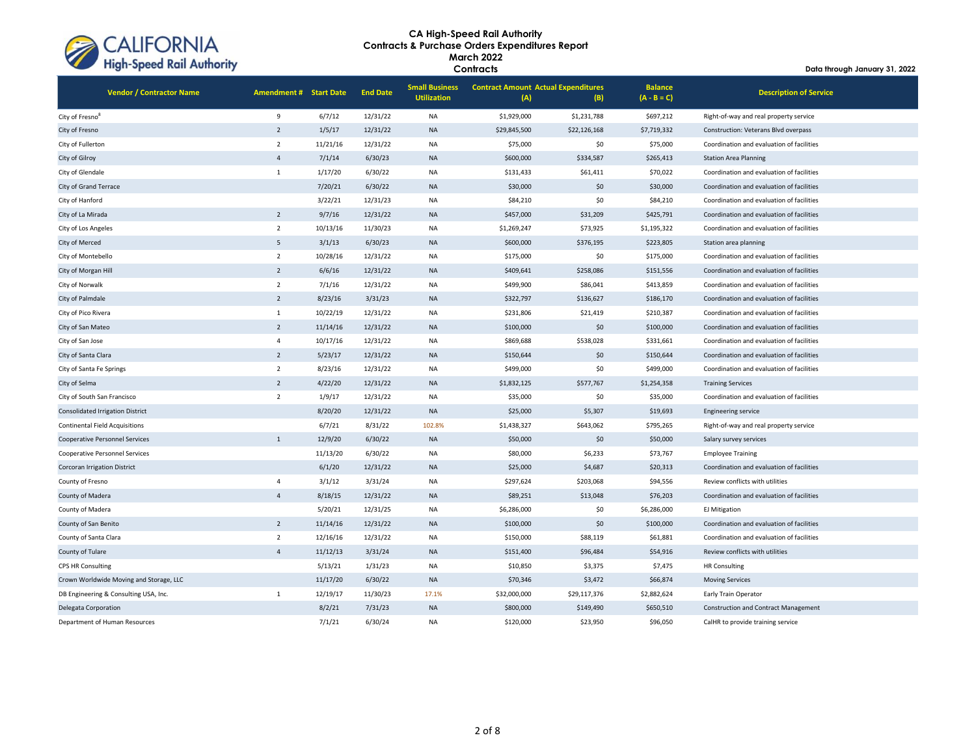

| <b>Vendor / Contractor Name</b>         | <b>Amendment # Start Date</b> |          | <b>End Date</b> | <b>Small Business</b><br><b>Utilization</b> | <b>Contract Amount Actual Expenditures</b><br>(A) | (B)          | <b>Balance</b><br>$(A - B = C)$ | <b>Description of Service</b>               |
|-----------------------------------------|-------------------------------|----------|-----------------|---------------------------------------------|---------------------------------------------------|--------------|---------------------------------|---------------------------------------------|
| City of Fresno <sup>8</sup>             | 9                             | 6/7/12   | 12/31/22        | <b>NA</b>                                   | \$1,929,000                                       | \$1,231,788  | \$697,212                       | Right-of-way and real property service      |
| City of Fresno                          | $\overline{2}$                | 1/5/17   | 12/31/22        | <b>NA</b>                                   | \$29,845,500                                      | \$22,126,168 | \$7,719,332                     | Construction: Veterans Blvd overpass        |
| City of Fullerton                       | $\overline{2}$                | 11/21/16 | 12/31/22        | <b>NA</b>                                   | \$75,000                                          | \$0          | \$75,000                        | Coordination and evaluation of facilities   |
| City of Gilroy                          | $\overline{4}$                | 7/1/14   | 6/30/23         | <b>NA</b>                                   | \$600,000                                         | \$334,587    | \$265,413                       | <b>Station Area Planning</b>                |
| City of Glendale                        | $\mathbf{1}$                  | 1/17/20  | 6/30/22         | <b>NA</b>                                   | \$131,433                                         | \$61,411     | \$70,022                        | Coordination and evaluation of facilities   |
| City of Grand Terrace                   |                               | 7/20/21  | 6/30/22         | <b>NA</b>                                   | \$30,000                                          | \$0          | \$30,000                        | Coordination and evaluation of facilities   |
| City of Hanford                         |                               | 3/22/21  | 12/31/23        | NA                                          | \$84,210                                          | \$0          | \$84,210                        | Coordination and evaluation of facilities   |
| City of La Mirada                       | $\overline{2}$                | 9/7/16   | 12/31/22        | <b>NA</b>                                   | \$457,000                                         | \$31,209     | \$425,791                       | Coordination and evaluation of facilities   |
| City of Los Angeles                     | $\overline{2}$                | 10/13/16 | 11/30/23        | NA                                          | \$1,269,247                                       | \$73,925     | \$1,195,322                     | Coordination and evaluation of facilities   |
| City of Merced                          | 5                             | 3/1/13   | 6/30/23         | <b>NA</b>                                   | \$600,000                                         | \$376,195    | \$223,805                       | Station area planning                       |
| City of Montebello                      | $\overline{2}$                | 10/28/16 | 12/31/22        | NA                                          | \$175,000                                         | \$0          | \$175,000                       | Coordination and evaluation of facilities   |
| City of Morgan Hill                     | $\overline{2}$                | 6/6/16   | 12/31/22        | <b>NA</b>                                   | \$409,641                                         | \$258,086    | \$151,556                       | Coordination and evaluation of facilities   |
| City of Norwalk                         | $\overline{2}$                | 7/1/16   | 12/31/22        | <b>NA</b>                                   | \$499,900                                         | \$86,041     | \$413,859                       | Coordination and evaluation of facilities   |
| City of Palmdale                        | $\overline{2}$                | 8/23/16  | 3/31/23         | <b>NA</b>                                   | \$322,797                                         | \$136,627    | \$186,170                       | Coordination and evaluation of facilities   |
| City of Pico Rivera                     | $\mathbf{1}$                  | 10/22/19 | 12/31/22        | NA                                          | \$231,806                                         | \$21,419     | \$210,387                       | Coordination and evaluation of facilities   |
| City of San Mateo                       | $\overline{2}$                | 11/14/16 | 12/31/22        | <b>NA</b>                                   | \$100,000                                         | \$0          | \$100,000                       | Coordination and evaluation of facilities   |
| City of San Jose                        | $\overline{4}$                | 10/17/16 | 12/31/22        | NA                                          | \$869,688                                         | \$538,028    | \$331,661                       | Coordination and evaluation of facilities   |
| City of Santa Clara                     | 2                             | 5/23/17  | 12/31/22        | <b>NA</b>                                   | \$150,644                                         | \$0          | \$150,644                       | Coordination and evaluation of facilities   |
| City of Santa Fe Springs                | $\overline{2}$                | 8/23/16  | 12/31/22        | <b>NA</b>                                   | \$499,000                                         | \$0          | \$499,000                       | Coordination and evaluation of facilities   |
| City of Selma                           | 2                             | 4/22/20  | 12/31/22        | <b>NA</b>                                   | \$1,832,125                                       | \$577,767    | \$1,254,358                     | <b>Training Services</b>                    |
| City of South San Francisco             | $\overline{2}$                | 1/9/17   | 12/31/22        | NA                                          | \$35,000                                          | \$0          | \$35,000                        | Coordination and evaluation of facilities   |
| Consolidated Irrigation District        |                               | 8/20/20  | 12/31/22        | <b>NA</b>                                   | \$25,000                                          | \$5,307      | \$19,693                        | <b>Engineering service</b>                  |
| <b>Continental Field Acquisitions</b>   |                               | 6/7/21   | 8/31/22         | 102.8%                                      | \$1,438,327                                       | \$643,062    | \$795,265                       | Right-of-way and real property service      |
| <b>Cooperative Personnel Services</b>   | $\mathbf{1}$                  | 12/9/20  | 6/30/22         | <b>NA</b>                                   | \$50,000                                          | \$0          | \$50,000                        | Salary survey services                      |
| <b>Cooperative Personnel Services</b>   |                               | 11/13/20 | 6/30/22         | <b>NA</b>                                   | \$80,000                                          | \$6,233      | \$73,767                        | <b>Employee Training</b>                    |
| <b>Corcoran Irrigation District</b>     |                               | 6/1/20   | 12/31/22        | <b>NA</b>                                   | \$25,000                                          | \$4,687      | \$20,313                        | Coordination and evaluation of facilities   |
| County of Fresno                        | $\overline{4}$                | 3/1/12   | 3/31/24         | <b>NA</b>                                   | \$297,624                                         | \$203,068    | \$94,556                        | Review conflicts with utilities             |
| County of Madera                        | $\overline{4}$                | 8/18/15  | 12/31/22        | <b>NA</b>                                   | \$89,251                                          | \$13,048     | \$76,203                        | Coordination and evaluation of facilities   |
| County of Madera                        |                               | 5/20/21  | 12/31/25        | NA                                          | \$6,286,000                                       | \$0          | \$6,286,000                     | <b>EJ Mitigation</b>                        |
| County of San Benito                    | $\overline{2}$                | 11/14/16 | 12/31/22        | <b>NA</b>                                   | \$100,000                                         | \$0          | \$100,000                       | Coordination and evaluation of facilities   |
| County of Santa Clara                   | $\overline{2}$                | 12/16/16 | 12/31/22        | <b>NA</b>                                   | \$150,000                                         | \$88,119     | \$61,881                        | Coordination and evaluation of facilities   |
| County of Tulare                        | $\overline{4}$                | 11/12/13 | 3/31/24         | <b>NA</b>                                   | \$151,400                                         | \$96,484     | \$54,916                        | Review conflicts with utilities             |
| <b>CPS HR Consulting</b>                |                               | 5/13/21  | 1/31/23         | <b>NA</b>                                   | \$10,850                                          | \$3,375      | \$7,475                         | <b>HR Consulting</b>                        |
| Crown Worldwide Moving and Storage, LLC |                               | 11/17/20 | 6/30/22         | <b>NA</b>                                   | \$70,346                                          | \$3,472      | \$66,874                        | <b>Moving Services</b>                      |
| DB Engineering & Consulting USA, Inc.   | $\mathbf{1}$                  | 12/19/17 | 11/30/23        | 17.1%                                       | \$32,000,000                                      | \$29,117,376 | \$2,882,624                     | Early Train Operator                        |
| Delegata Corporation                    |                               | 8/2/21   | 7/31/23         | <b>NA</b>                                   | \$800,000                                         | \$149,490    | \$650,510                       | <b>Construction and Contract Management</b> |
| Department of Human Resources           |                               | 7/1/21   | 6/30/24         | NA                                          | \$120,000                                         | \$23,950     | \$96,050                        | CalHR to provide training service           |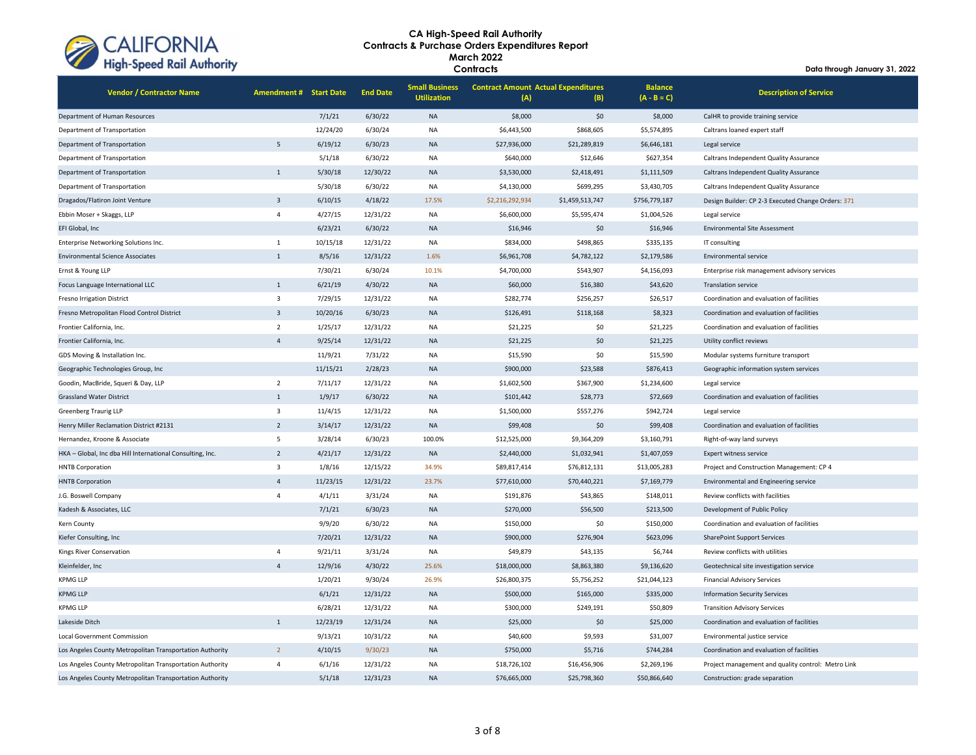

| <b>Vendor / Contractor Name</b>                           | <b>Amendment # Start Date</b> |          | <b>End Date</b> | <b>Small Business</b><br><b>Utilization</b> | <b>Contract Amount Actual Expenditures</b><br>(A)<br>(B) |                 | <b>Balance</b><br>$(A - B = C)$ | <b>Description of Service</b>                      |
|-----------------------------------------------------------|-------------------------------|----------|-----------------|---------------------------------------------|----------------------------------------------------------|-----------------|---------------------------------|----------------------------------------------------|
| Department of Human Resources                             |                               | 7/1/21   | 6/30/22         | <b>NA</b>                                   | \$8,000                                                  | \$0             | \$8,000                         | CalHR to provide training service                  |
| Department of Transportation                              |                               | 12/24/20 | 6/30/24         | NA                                          | \$6,443,500                                              | \$868,605       | \$5,574,895                     | Caltrans loaned expert staff                       |
| Department of Transportation                              | 5                             | 6/19/12  | 6/30/23         | <b>NA</b>                                   | \$27,936,000                                             | \$21,289,819    | \$6,646,181                     | Legal service                                      |
| Department of Transportation                              |                               | 5/1/18   | 6/30/22         | NA                                          | \$640,000                                                | \$12,646        | \$627,354                       | Caltrans Independent Quality Assurance             |
| Department of Transportation                              | $\overline{1}$                | 5/30/18  | 12/30/22        | <b>NA</b>                                   | \$3,530,000                                              | \$2,418,491     | \$1,111,509                     | Caltrans Independent Quality Assurance             |
| Department of Transportation                              |                               | 5/30/18  | 6/30/22         | NA                                          | \$4,130,000                                              | \$699,295       | \$3,430,705                     | Caltrans Independent Quality Assurance             |
| Dragados/Flatiron Joint Venture                           | $\overline{3}$                | 6/10/15  | 4/18/22         | 17.5%                                       | \$2,216,292,934                                          | \$1,459,513,747 | \$756,779,187                   | Design Builder: CP 2-3 Executed Change Orders: 371 |
| Ebbin Moser + Skaggs, LLP                                 | $\overline{4}$                | 4/27/15  | 12/31/22        | NA                                          | \$6,600,000                                              | \$5,595,474     | \$1,004,526                     | Legal service                                      |
| EFI Global, Inc.                                          |                               | 6/23/21  | 6/30/22         | <b>NA</b>                                   | \$16,946                                                 | \$0             | \$16,946                        | <b>Environmental Site Assessment</b>               |
| Enterprise Networking Solutions Inc.                      | 1                             | 10/15/18 | 12/31/22        | NA                                          | \$834,000                                                | \$498,865       | \$335,135                       | IT consulting                                      |
| <b>Environmental Science Associates</b>                   | $\mathbf{1}$                  | 8/5/16   | 12/31/22        | 1.6%                                        | \$6,961,708                                              | \$4,782,122     | \$2,179,586                     | Environmental service                              |
| Ernst & Young LLP                                         |                               | 7/30/21  | 6/30/24         | 10.1%                                       | \$4,700,000                                              | \$543,907       | \$4,156,093                     | Enterprise risk management advisory services       |
| Focus Language International LLC                          | $\overline{1}$                | 6/21/19  | 4/30/22         | <b>NA</b>                                   | \$60,000                                                 | \$16,380        | \$43,620                        | <b>Translation service</b>                         |
| Fresno Irrigation District                                | $\overline{\mathbf{3}}$       | 7/29/15  | 12/31/22        | NA                                          | \$282,774                                                | \$256,257       | \$26,517                        | Coordination and evaluation of facilities          |
| Fresno Metropolitan Flood Control District                | $\overline{\mathbf{3}}$       | 10/20/16 | 6/30/23         | <b>NA</b>                                   | \$126,491                                                | \$118,168       | \$8,323                         | Coordination and evaluation of facilities          |
| Frontier California, Inc.                                 | $\overline{2}$                | 1/25/17  | 12/31/22        | NA                                          | \$21,225                                                 | \$0             | \$21,225                        | Coordination and evaluation of facilities          |
| Frontier California, Inc.                                 | $\overline{a}$                | 9/25/14  | 12/31/22        | <b>NA</b>                                   | \$21,225                                                 | \$0             | \$21,225                        | Utility conflict reviews                           |
| GDS Moving & Installation Inc.                            |                               | 11/9/21  | 7/31/22         | <b>NA</b>                                   | \$15,590                                                 | \$0             | \$15,590                        | Modular systems furniture transport                |
| Geographic Technologies Group, Inc                        |                               | 11/15/21 | 2/28/23         | <b>NA</b>                                   | \$900,000                                                | \$23,588        | \$876,413                       | Geographic information system services             |
| Goodin, MacBride, Squeri & Day, LLP                       | $\overline{2}$                | 7/11/17  | 12/31/22        | NA                                          | \$1,602,500                                              | \$367,900       | \$1,234,600                     | Legal service                                      |
| <b>Grassland Water District</b>                           | $\overline{1}$                | 1/9/17   | 6/30/22         | <b>NA</b>                                   | \$101,442                                                | \$28,773        | \$72,669                        | Coordination and evaluation of facilities          |
| <b>Greenberg Traurig LLP</b>                              | $\overline{\mathbf{3}}$       | 11/4/15  | 12/31/22        | NA                                          | \$1,500,000                                              | \$557,276       | \$942,724                       | Legal service                                      |
| Henry Miller Reclamation District #2131                   | $\overline{2}$                | 3/14/17  | 12/31/22        | <b>NA</b>                                   | \$99,408                                                 | \$0             | \$99,408                        | Coordination and evaluation of facilities          |
| Hernandez, Kroone & Associate                             | 5                             | 3/28/14  | 6/30/23         | 100.0%                                      | \$12,525,000                                             | \$9,364,209     | \$3,160,791                     | Right-of-way land surveys                          |
| HKA - Global, Inc dba Hill International Consulting, Inc. | $\overline{2}$                | 4/21/17  | 12/31/22        | <b>NA</b>                                   | \$2,440,000                                              | \$1,032,941     | \$1,407,059                     | <b>Expert witness service</b>                      |
| <b>HNTB Corporation</b>                                   | $\overline{3}$                | 1/8/16   | 12/15/22        | 34.9%                                       | \$89,817,414                                             | \$76,812,131    | \$13,005,283                    | Project and Construction Management: CP 4          |
| <b>HNTB Corporation</b>                                   | $\overline{a}$                | 11/23/15 | 12/31/22        | 23.7%                                       | \$77,610,000                                             | \$70,440,221    | \$7,169,779                     | Environmental and Engineering service              |
| J.G. Boswell Company                                      | $\overline{a}$                | 4/1/11   | 3/31/24         | NA                                          | \$191,876                                                | \$43,865        | \$148,011                       | Review conflicts with facilities                   |
| Kadesh & Associates, LLC                                  |                               | 7/1/21   | 6/30/23         | <b>NA</b>                                   | \$270,000                                                | \$56,500        | \$213,500                       | Development of Public Policy                       |
| Kern County                                               |                               | 9/9/20   | 6/30/22         | NA                                          | \$150,000                                                | \$0             | \$150,000                       | Coordination and evaluation of facilities          |
| Kiefer Consulting, Inc                                    |                               | 7/20/21  | 12/31/22        | <b>NA</b>                                   | \$900,000                                                | \$276,904       | \$623,096                       | <b>SharePoint Support Services</b>                 |
| Kings River Conservation                                  | $\overline{a}$                | 9/21/11  | 3/31/24         | NA                                          | \$49,879                                                 | \$43,135        | \$6,744                         | Review conflicts with utilities                    |
| Kleinfelder, Inc                                          | $\Delta$                      | 12/9/16  | 4/30/22         | 25.6%                                       | \$18,000,000                                             | \$8,863,380     | \$9,136,620                     | Geotechnical site investigation service            |
| <b>KPMG LLP</b>                                           |                               | 1/20/21  | 9/30/24         | 26.9%                                       | \$26,800,375                                             | \$5,756,252     | \$21,044,123                    | <b>Financial Advisory Services</b>                 |
| <b>KPMG LLP</b>                                           |                               | 6/1/21   | 12/31/22        | <b>NA</b>                                   | \$500,000                                                | \$165,000       | \$335,000                       | <b>Information Security Services</b>               |
| <b>KPMG LLP</b>                                           |                               | 6/28/21  | 12/31/22        | NA                                          | \$300,000                                                | \$249,191       | \$50,809                        | <b>Transition Advisory Services</b>                |
| Lakeside Ditch                                            | $\mathbf{1}$                  | 12/23/19 | 12/31/24        | <b>NA</b>                                   | \$25,000                                                 | \$0             | \$25,000                        | Coordination and evaluation of facilities          |
| Local Government Commission                               |                               | 9/13/21  | 10/31/22        | NA                                          | \$40,600                                                 | \$9,593         | \$31,007                        | Environmental justice service                      |
| Los Angeles County Metropolitan Transportation Authority  | $\overline{2}$                | 4/10/15  | 9/30/23         | <b>NA</b>                                   | \$750,000                                                | \$5,716         | \$744,284                       | Coordination and evaluation of facilities          |
| Los Angeles County Metropolitan Transportation Authority  | $\overline{4}$                | 6/1/16   | 12/31/22        | <b>NA</b>                                   | \$18,726,102                                             | \$16,456,906    | \$2,269,196                     | Project management and quality control: Metro Link |
| Los Angeles County Metropolitan Transportation Authority  |                               | 5/1/18   | 12/31/23        | <b>NA</b>                                   | \$76,665,000                                             | \$25,798,360    | \$50,866,640                    | Construction: grade separation                     |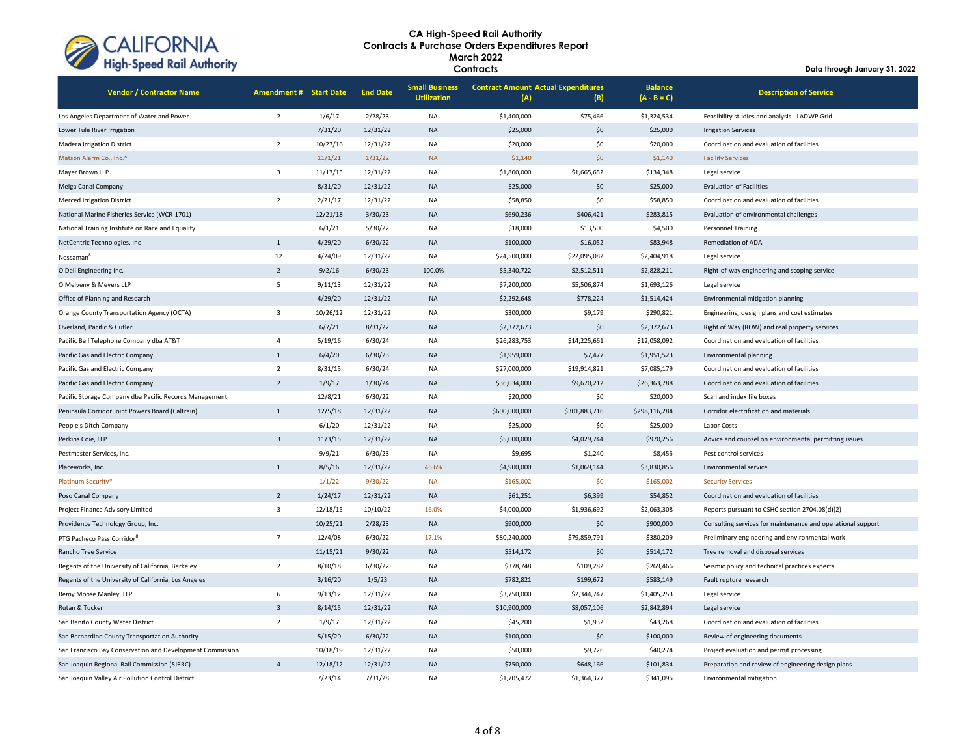

| <b>Vendor / Contractor Name</b>                           | <b>Amendment # Start Date</b> |          | <b>End Date</b> | <b>Small Business</b><br><b>Utilization</b> | <b>Contract Amount Actual Expenditures</b><br>(A) | (B)           | <b>Balance</b><br>$(A - B = C)$ | <b>Description of Service</b>                               |
|-----------------------------------------------------------|-------------------------------|----------|-----------------|---------------------------------------------|---------------------------------------------------|---------------|---------------------------------|-------------------------------------------------------------|
| Los Angeles Department of Water and Power                 | $\overline{2}$                | 1/6/17   | 2/28/23         | <b>NA</b>                                   | \$1,400,000                                       | \$75,466      | \$1,324,534                     | Feasibility studies and analysis - LADWP Grid               |
| Lower Tule River Irrigation                               |                               | 7/31/20  | 12/31/22        | <b>NA</b>                                   | \$25,000                                          | \$0           | \$25,000                        | <b>Irrigation Services</b>                                  |
| <b>Madera Irrigation District</b>                         | $\overline{2}$                | 10/27/16 | 12/31/22        | NA                                          | \$20,000                                          | \$0           | \$20,000                        | Coordination and evaluation of facilities                   |
| Matson Alarm Co., Inc.*                                   |                               | 11/1/21  | 1/31/22         | <b>NA</b>                                   | \$1,140                                           | \$0           | \$1,140                         | <b>Facility Services</b>                                    |
| Mayer Brown LLP                                           | $\overline{3}$                | 11/17/15 | 12/31/22        | <b>NA</b>                                   | \$1,800,000                                       | \$1,665,652   | \$134,348                       | Legal service                                               |
| Melga Canal Company                                       |                               | 8/31/20  | 12/31/22        | <b>NA</b>                                   | \$25,000                                          | \$0           | \$25,000                        | <b>Evaluation of Facilities</b>                             |
| <b>Merced Irrigation District</b>                         | $\overline{2}$                | 2/21/17  | 12/31/22        | NA                                          | \$58,850                                          | \$0           | \$58,850                        | Coordination and evaluation of facilities                   |
| National Marine Fisheries Service (WCR-1701)              |                               | 12/21/18 | 3/30/23         | <b>NA</b>                                   | \$690,236                                         | \$406,421     | \$283,815                       | Evaluation of environmental challenges                      |
| National Training Institute on Race and Equality          |                               | 6/1/21   | 5/30/22         | NA                                          | \$18,000                                          | \$13,500      | \$4,500                         | Personnel Training                                          |
| NetCentric Technologies, Inc                              | $1\,$                         | 4/29/20  | 6/30/22         | <b>NA</b>                                   | \$100,000                                         | \$16,052      | \$83,948                        | Remediation of ADA                                          |
| Nossaman                                                  | 12                            | 4/24/09  | 12/31/22        | NA                                          | \$24,500,000                                      | \$22,095,082  | \$2,404,918                     | Legal service                                               |
| O'Dell Engineering Inc.                                   | $\overline{2}$                | 9/2/16   | 6/30/23         | 100.0%                                      | \$5,340,722                                       | \$2,512,511   | \$2,828,211                     | Right-of-way engineering and scoping service                |
| O'Melveny & Meyers LLP                                    | $\overline{\phantom{a}}$      | 9/11/13  | 12/31/22        | <b>NA</b>                                   | \$7,200,000                                       | \$5,506,874   | \$1,693,126                     | Legal service                                               |
| Office of Planning and Research                           |                               | 4/29/20  | 12/31/22        | <b>NA</b>                                   | \$2,292,648                                       | \$778,224     | \$1,514,424                     | Environmental mitigation planning                           |
| Orange County Transportation Agency (OCTA)                | $\overline{\mathbf{3}}$       | 10/26/12 | 12/31/22        | <b>NA</b>                                   | \$300,000                                         | \$9,179       | \$290,821                       | Engineering, design plans and cost estimates                |
| Overland, Pacific & Cutler                                |                               | 6/7/21   | 8/31/22         | <b>NA</b>                                   | \$2,372,673                                       | \$0           | \$2,372,673                     | Right of Way (ROW) and real property services               |
| Pacific Bell Telephone Company dba AT&T                   | $\overline{4}$                | 5/19/16  | 6/30/24         | NA                                          | \$26,283,753                                      | \$14,225,661  | \$12,058,092                    | Coordination and evaluation of facilities                   |
| Pacific Gas and Electric Company                          | $\mathbf{1}$                  | 6/4/20   | 6/30/23         | <b>NA</b>                                   | \$1,959,000                                       | \$7,477       | \$1,951,523                     | <b>Environmental planning</b>                               |
| Pacific Gas and Electric Company                          | $\overline{2}$                | 8/31/15  | 6/30/24         | <b>NA</b>                                   | \$27,000,000                                      | \$19,914,821  | \$7,085,179                     | Coordination and evaluation of facilities                   |
| Pacific Gas and Electric Company                          | $\overline{2}$                | 1/9/17   | 1/30/24         | <b>NA</b>                                   | \$36,034,000                                      | \$9,670,212   | \$26,363,788                    | Coordination and evaluation of facilities                   |
| Pacific Storage Company dba Pacific Records Management    |                               | 12/8/21  | 6/30/22         | NA                                          | \$20,000                                          | \$0           | \$20,000                        | Scan and index file boxes                                   |
| Peninsula Corridor Joint Powers Board (Caltrain)          | $\mathbf{1}$                  | 12/5/18  | 12/31/22        | NA                                          | \$600,000,000                                     | \$301,883,716 | \$298,116,284                   | Corridor electrification and materials                      |
| People's Ditch Company                                    |                               | 6/1/20   | 12/31/22        | <b>NA</b>                                   | \$25,000                                          | \$0           | \$25,000                        | Labor Costs                                                 |
| Perkins Coie, LLP                                         | $\overline{3}$                | 11/3/15  | 12/31/22        | <b>NA</b>                                   | \$5,000,000                                       | \$4,029,744   | \$970,256                       | Advice and counsel on environmental permitting issues       |
| Pestmaster Services, Inc.                                 |                               | 9/9/21   | 6/30/23         | NA                                          | \$9,695                                           | \$1,240       | \$8,455                         | Pest control services                                       |
| Placeworks, Inc.                                          | $\mathbf{1}$                  | 8/5/16   | 12/31/22        | 46.6%                                       | \$4,900,000                                       | \$1,069,144   | \$3,830,856                     | <b>Environmental service</b>                                |
| Platinum Security*                                        |                               | 1/1/22   | 9/30/22         | <b>NA</b>                                   | \$165,002                                         | \$0           | \$165,002                       | <b>Security Services</b>                                    |
| Poso Canal Company                                        | $\overline{2}$                | 1/24/17  | 12/31/22        | <b>NA</b>                                   | \$61,251                                          | \$6,399       | \$54,852                        | Coordination and evaluation of facilities                   |
| Project Finance Advisory Limited                          | $\overline{\mathbf{3}}$       | 12/18/15 | 10/10/22        | 16.0%                                       | \$4,000,000                                       | \$1,936,692   | \$2,063,308                     | Reports pursuant to CSHC section 2704.08(d)(2)              |
| Providence Technology Group, Inc.                         |                               | 10/25/21 | 2/28/23         | <b>NA</b>                                   | \$900,000                                         | \$0           | \$900,000                       | Consulting services for maintenance and operational support |
| PTG Pacheco Pass Corridor <sup>8</sup>                    | $\overline{7}$                | 12/4/08  | 6/30/22         | 17.1%                                       | \$80,240,000                                      | \$79,859,791  | \$380,209                       | Preliminary engineering and environmental work              |
| Rancho Tree Service                                       |                               | 11/15/21 | 9/30/22         | <b>NA</b>                                   | \$514,172                                         | \$0           | \$514,172                       | Tree removal and disposal services                          |
| Regents of the University of California, Berkeley         | $\overline{2}$                | 8/10/18  | 6/30/22         | NA                                          | \$378,748                                         | \$109,282     | \$269,466                       | Seismic policy and technical practices experts              |
| Regents of the University of California, Los Angeles      |                               | 3/16/20  | 1/5/23          | <b>NA</b>                                   | \$782,821                                         | \$199,672     | \$583,149                       | Fault rupture research                                      |
| Remy Moose Manley, LLP                                    | $\,$ 6 $\,$                   | 9/13/12  | 12/31/22        | NA                                          | \$3,750,000                                       | \$2,344,747   | \$1,405,253                     | Legal service                                               |
| Rutan & Tucker                                            | $\overline{3}$                | 8/14/15  | 12/31/22        | <b>NA</b>                                   | \$10,900,000                                      | \$8,057,106   | \$2,842,894                     | Legal service                                               |
| San Benito County Water District                          | $\overline{2}$                | 1/9/17   | 12/31/22        | NA                                          | \$45,200                                          | \$1,932       | \$43,268                        | Coordination and evaluation of facilities                   |
| San Bernardino County Transportation Authority            |                               | 5/15/20  | 6/30/22         | <b>NA</b>                                   | \$100,000                                         | \$0           | \$100,000                       | Review of engineering documents                             |
| San Francisco Bay Conservation and Development Commission |                               | 10/18/19 | 12/31/22        | <b>NA</b>                                   | \$50,000                                          | \$9,726       | \$40,274                        | Project evaluation and permit processing                    |
| San Joaquin Regional Rail Commission (SJRRC)              | $\overline{4}$                | 12/18/12 | 12/31/22        | <b>NA</b>                                   | \$750,000                                         | \$648,166     | \$101,834                       | Preparation and review of engineering design plans          |
| San Joaquin Valley Air Pollution Control District         |                               | 7/23/14  | 7/31/28         | <b>NA</b>                                   | \$1.705.472                                       | \$1.364.377   | \$341.095                       | Environmental mitigation                                    |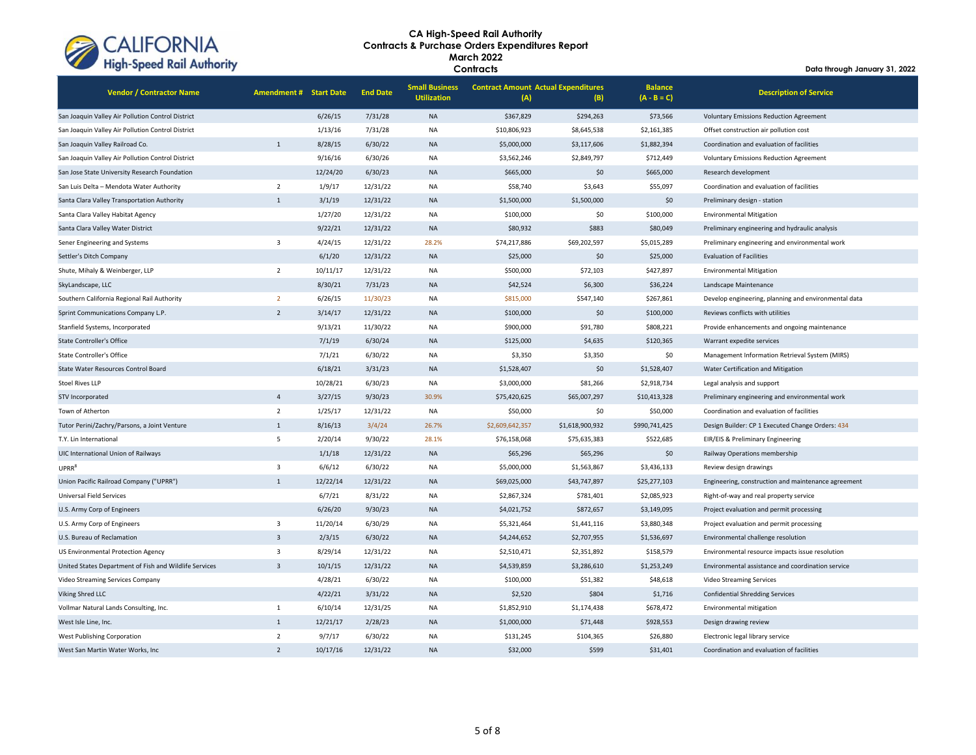

| <b>Vendor / Contractor Name</b>                        | <b>Amendment # Start Date</b> |          | <b>End Date</b> | <b>Small Business</b><br><b>Utilization</b> | <b>Contract Amount Actual Expenditures</b><br>(A) | (B)             | <b>Balance</b><br>$(A - B = C)$ | <b>Description of Service</b>                        |
|--------------------------------------------------------|-------------------------------|----------|-----------------|---------------------------------------------|---------------------------------------------------|-----------------|---------------------------------|------------------------------------------------------|
| San Joaquin Valley Air Pollution Control District      |                               | 6/26/15  | 7/31/28         | <b>NA</b>                                   | \$367,829                                         | \$294,263       | \$73,566                        | <b>Voluntary Emissions Reduction Agreement</b>       |
| San Joaquin Valley Air Pollution Control District      |                               | 1/13/16  | 7/31/28         | NA                                          | \$10,806,923                                      | \$8,645,538     | \$2,161,385                     | Offset construction air pollution cost               |
| San Joaquin Valley Railroad Co.                        | $\mathbf{1}$                  | 8/28/15  | 6/30/22         | <b>NA</b>                                   | \$5,000,000                                       | \$3,117,606     | \$1,882,394                     | Coordination and evaluation of facilities            |
| San Joaquin Valley Air Pollution Control District      |                               | 9/16/16  | 6/30/26         | <b>NA</b>                                   | \$3,562,246                                       | \$2,849,797     | \$712,449                       | <b>Voluntary Emissions Reduction Agreement</b>       |
| San Jose State University Research Foundation          |                               | 12/24/20 | 6/30/23         | <b>NA</b>                                   | \$665,000                                         | \$0             | \$665,000                       | Research development                                 |
| San Luis Delta - Mendota Water Authority               | $\overline{2}$                | 1/9/17   | 12/31/22        | <b>NA</b>                                   | \$58,740                                          | \$3,643         | \$55,097                        | Coordination and evaluation of facilities            |
| Santa Clara Valley Transportation Authority            | $\mathbf{1}$                  | 3/1/19   | 12/31/22        | <b>NA</b>                                   | \$1,500,000                                       | \$1,500,000     | \$0                             | Preliminary design - station                         |
| Santa Clara Valley Habitat Agency                      |                               | 1/27/20  | 12/31/22        | <b>NA</b>                                   | \$100,000                                         | \$0             | \$100,000                       | <b>Environmental Mitigation</b>                      |
| Santa Clara Valley Water District                      |                               | 9/22/21  | 12/31/22        | <b>NA</b>                                   | \$80,932                                          | \$883           | \$80,049                        | Preliminary engineering and hydraulic analysis       |
| Sener Engineering and Systems                          | $\overline{3}$                | 4/24/15  | 12/31/22        | 28.2%                                       | \$74,217,886                                      | \$69,202,597    | \$5,015,289                     | Preliminary engineering and environmental work       |
| Settler's Ditch Company                                |                               | 6/1/20   | 12/31/22        | <b>NA</b>                                   | \$25,000                                          | \$0             | \$25,000                        | <b>Evaluation of Facilities</b>                      |
| Shute, Mihaly & Weinberger, LLP                        | $\overline{2}$                | 10/11/17 | 12/31/22        | <b>NA</b>                                   | \$500,000                                         | \$72,103        | \$427,897                       | <b>Environmental Mitigation</b>                      |
| SkyLandscape, LLC                                      |                               | 8/30/21  | 7/31/23         | <b>NA</b>                                   | \$42,524                                          | \$6,300         | \$36,224                        | Landscape Maintenance                                |
| Southern California Regional Rail Authority            | $\overline{2}$                | 6/26/15  | 11/30/23        | <b>NA</b>                                   | \$815,000                                         | \$547,140       | \$267,861                       | Develop engineering, planning and environmental data |
| Sprint Communications Company L.P.                     | $\overline{2}$                | 3/14/17  | 12/31/22        | <b>NA</b>                                   | \$100,000                                         | \$0             | \$100,000                       | Reviews conflicts with utilities                     |
| Stanfield Systems, Incorporated                        |                               | 9/13/21  | 11/30/22        | NA                                          | \$900,000                                         | \$91,780        | \$808,221                       | Provide enhancements and ongoing maintenance         |
| <b>State Controller's Office</b>                       |                               | 7/1/19   | 6/30/24         | <b>NA</b>                                   | \$125,000                                         | \$4,635         | \$120,365                       | Warrant expedite services                            |
| <b>State Controller's Office</b>                       |                               | 7/1/21   | 6/30/22         | <b>NA</b>                                   | \$3,350                                           | \$3,350         | \$0                             | Management Information Retrieval System (MIRS)       |
| State Water Resources Control Board                    |                               | 6/18/21  | 3/31/23         | <b>NA</b>                                   | \$1,528,407                                       | \$0             | \$1,528,407                     | Water Certification and Mitigation                   |
| <b>Stoel Rives LLP</b>                                 |                               | 10/28/21 | 6/30/23         | NA                                          | \$3,000,000                                       | \$81,266        | \$2,918,734                     | Legal analysis and support                           |
| STV Incorporated                                       | $\overline{4}$                | 3/27/15  | 9/30/23         | 30.9%                                       | \$75,420,625                                      | \$65,007,297    | \$10,413,328                    | Preliminary engineering and environmental work       |
| Town of Atherton                                       | $\overline{2}$                | 1/25/17  | 12/31/22        | <b>NA</b>                                   | \$50,000                                          | \$0             | \$50,000                        | Coordination and evaluation of facilities            |
| Tutor Perini/Zachry/Parsons, a Joint Venture           | $\mathbf{1}$                  | 8/16/13  | 3/4/24          | 26.7%                                       | \$2,609,642,357                                   | \$1,618,900,932 | \$990,741,425                   | Design Builder: CP 1 Executed Change Orders: 434     |
| T.Y. Lin International                                 | 5                             | 2/20/14  | 9/30/22         | 28.1%                                       | \$76,158,068                                      | \$75,635,383    | \$522,685                       | EIR/EIS & Preliminary Engineering                    |
| UIC International Union of Railways                    |                               | 1/1/18   | 12/31/22        | <b>NA</b>                                   | \$65,296                                          | \$65,296        | \$0                             | Railway Operations membership                        |
| UPRR <sup>8</sup>                                      | $\overline{3}$                | 6/6/12   | 6/30/22         | <b>NA</b>                                   | \$5,000,000                                       | \$1,563,867     | \$3,436,133                     | Review design drawings                               |
| Union Pacific Railroad Company ("UPRR")                | $\mathbf{1}$                  | 12/22/14 | 12/31/22        | <b>NA</b>                                   | \$69,025,000                                      | \$43,747,897    | \$25,277,103                    | Engineering, construction and maintenance agreement  |
| <b>Universal Field Services</b>                        |                               | 6/7/21   | 8/31/22         | <b>NA</b>                                   | \$2,867,324                                       | \$781,401       | \$2,085,923                     | Right-of-way and real property service               |
| U.S. Army Corp of Engineers                            |                               | 6/26/20  | 9/30/23         | <b>NA</b>                                   | \$4,021,752                                       | \$872,657       | \$3,149,095                     | Project evaluation and permit processing             |
| U.S. Army Corp of Engineers                            | $\overline{3}$                | 11/20/14 | 6/30/29         | NA                                          | \$5,321,464                                       | \$1,441,116     | \$3,880,348                     | Project evaluation and permit processing             |
| U.S. Bureau of Reclamation                             | $\overline{3}$                | 2/3/15   | 6/30/22         | <b>NA</b>                                   | \$4,244,652                                       | \$2,707,955     | \$1,536,697                     | Environmental challenge resolution                   |
| US Environmental Protection Agency                     | $\overline{\mathbf{3}}$       | 8/29/14  | 12/31/22        | NA                                          | \$2,510,471                                       | \$2,351,892     | \$158,579                       | Environmental resource impacts issue resolution      |
| United States Department of Fish and Wildlife Services | $\overline{3}$                | 10/1/15  | 12/31/22        | <b>NA</b>                                   | \$4,539,859                                       | \$3,286,610     | \$1,253,249                     | Environmental assistance and coordination service    |
| Video Streaming Services Company                       |                               | 4/28/21  | 6/30/22         | <b>NA</b>                                   | \$100,000                                         | \$51,382        | \$48,618                        | Video Streaming Services                             |
| Viking Shred LLC                                       |                               | 4/22/21  | 3/31/22         | <b>NA</b>                                   | \$2,520                                           | \$804           | \$1,716                         | <b>Confidential Shredding Services</b>               |
| Vollmar Natural Lands Consulting, Inc.                 | $\mathbf{1}$                  | 6/10/14  | 12/31/25        | NA                                          | \$1,852,910                                       | \$1,174,438     | \$678,472                       | Environmental mitigation                             |
| West Isle Line, Inc.                                   | 1                             | 12/21/17 | 2/28/23         | <b>NA</b>                                   | \$1,000,000                                       | \$71,448        | \$928,553                       | Design drawing review                                |
| West Publishing Corporation                            | $\overline{2}$                | 9/7/17   | 6/30/22         | <b>NA</b>                                   | \$131,245                                         | \$104,365       | \$26,880                        | Electronic legal library service                     |
| West San Martin Water Works, Inc.                      | $\overline{2}$                | 10/17/16 | 12/31/22        | <b>NA</b>                                   | \$32,000                                          | \$599           | \$31,401                        | Coordination and evaluation of facilities            |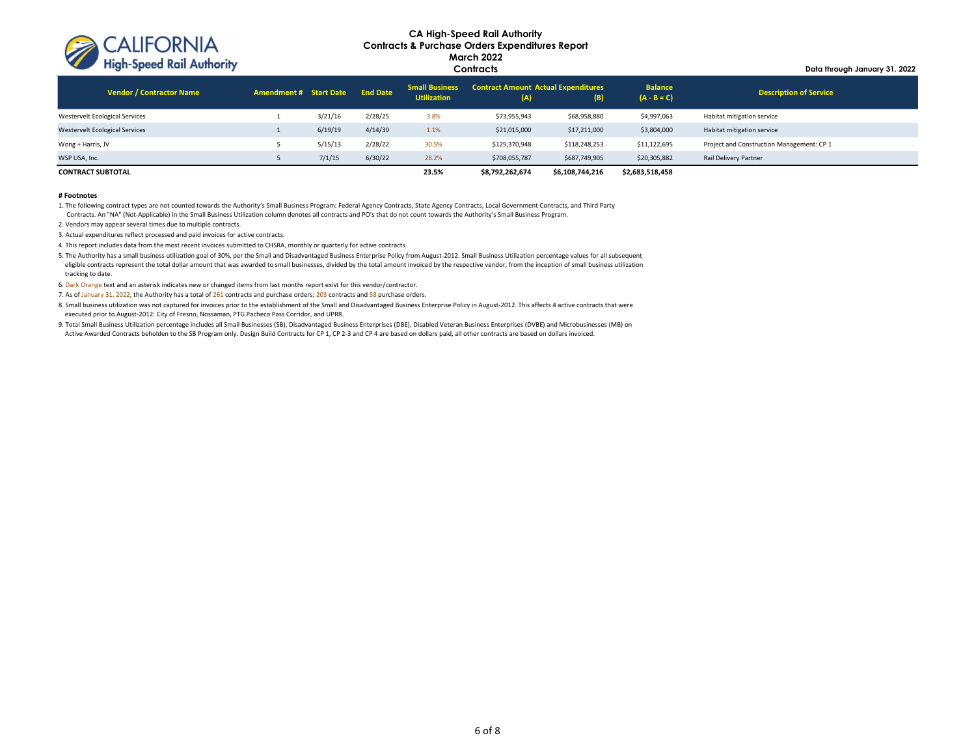

**Data through January 31, 2022**

| Vendor / Contractor Name              | Amendment # Start Date End Date |         |         | <b>Small Business</b><br><b>Utilization</b> | <b>Contract Amount Actual Expenditures</b><br>(A) | B)              | <b>Balance</b><br>$(A - B = C)$ | <b>Description of Service</b>             |
|---------------------------------------|---------------------------------|---------|---------|---------------------------------------------|---------------------------------------------------|-----------------|---------------------------------|-------------------------------------------|
| Westervelt Ecological Services        |                                 | 3/21/16 | 2/28/25 | 3.8%                                        | \$73,955,943                                      | \$68,958,880    | \$4,997,063                     | Habitat mitigation service                |
| <b>Westervelt Ecological Services</b> |                                 | 6/19/19 | 4/14/30 | 1.1%                                        | \$21,015,000                                      | \$17,211,000    | \$3,804,000                     | Habitat mitigation service                |
| Wong + Harris, JV                     |                                 | 5/15/13 | 2/28/22 | 30.5%                                       | \$129,370,948                                     | \$118,248,253   | \$11,122,695                    | Project and Construction Management: CP 1 |
| WSP USA, Inc.                         |                                 | 7/1/15  | 6/30/22 | 28.2%                                       | \$708,055,787                                     | \$687,749,905   | \$20,305,882                    | Rail Delivery Partner                     |
| <b>CONTRACT SUBTOTAL</b>              |                                 |         |         | 23.5%                                       | \$8,792,262,674                                   | \$6,108,744,216 | \$2,683,518,458                 |                                           |

#### **# Footnotes**

1. The following contract types are not counted towards the Authority's Small Business Program: Federal Agency Contracts, State Agency Contracts, Local Government Contracts, and Third Party Contracts. An "NA" (Not-Applicable) in the Small Business Utilization column denotes all contracts and PO's that do not count towards the Authority's Small Business Program.

2. Vendors may appear several times due to multiple contracts.

3. Actual expenditures reflect processed and paid invoices for active contracts.

4. This report includes data from the most recent invoices submitted to CHSRA, monthly or quarterly for active contracts.

5. The Authority has a small business utilization goal of 30%, per the Small and Disadvantaged Business Enterprise Policy from August-2012. Small Business Utilization percentage values for all subsequent eligible contracts represent the total dollar amount that was awarded to small businesses, divided by the total amount invoiced by the respective vendor, from the inception of small business utilization tracking to date.

6. Dark Orange text and an asterisk indicates new or changed items from last months report exist for this vendor/contractor.

7. As of January 31, 2022, the Authority has a total of 261 contracts and purchase orders; 203 contracts and 58 purchase orders.

8. Small business utilization was not captured for invoices prior to the establishment of the Small and Disadvantaged Business Enterprise Policy in August-2012. This affects 4 active contracts that were executed prior to August-2012: City of Fresno, Nossaman, PTG Pacheco Pass Corridor, and UPRR.

9. Total Small Business Utilization percentage includes all Small Businesses (SB), Disadvantaged Business Enterprises (DBE), Disabled Veteran Business Enterprises (DVBE) and Microbusinesses (MB) on Active Awarded Contracts beholden to the SB Program only. Design Build Contracts for CP 1, CP 2-3 and CP 4 are based on dollars paid, all other contracts are based on dollars invoiced.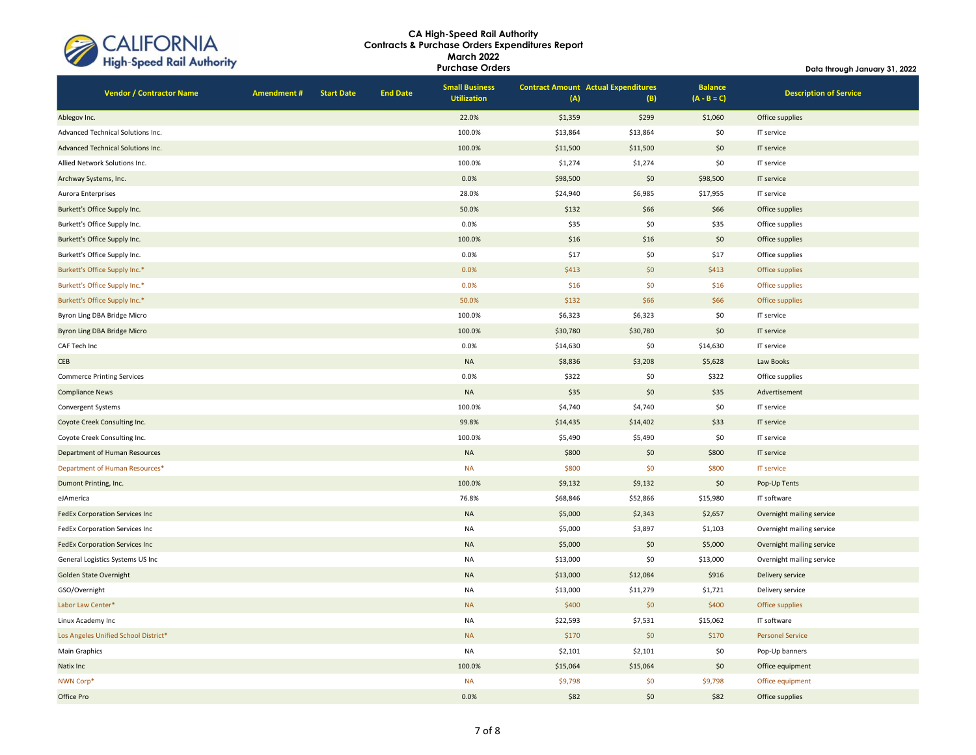| CALIFORNIA<br>High-Speed Rail Authority |
|-----------------------------------------|
|                                         |

| <b>High-Speed Kail Authority</b>      |                   |                   |                 | <b>Purchase Orders</b>                      |                                                   |          |                                 | Data through January 31, 2022 |  |
|---------------------------------------|-------------------|-------------------|-----------------|---------------------------------------------|---------------------------------------------------|----------|---------------------------------|-------------------------------|--|
| <b>Vendor / Contractor Name</b>       | <b>Amendment#</b> | <b>Start Date</b> | <b>End Date</b> | <b>Small Business</b><br><b>Utilization</b> | <b>Contract Amount Actual Expenditures</b><br>(A) | (B)      | <b>Balance</b><br>$(A - B = C)$ | <b>Description of Service</b> |  |
| Ablegov Inc.                          |                   |                   |                 | 22.0%                                       | \$1,359                                           | \$299    | \$1,060                         | Office supplies               |  |
| Advanced Technical Solutions Inc.     |                   |                   |                 | 100.0%                                      | \$13,864                                          | \$13,864 | \$0                             | IT service                    |  |
| Advanced Technical Solutions Inc.     |                   |                   |                 | 100.0%                                      | \$11,500                                          | \$11,500 | \$0                             | IT service                    |  |
| Allied Network Solutions Inc.         |                   |                   |                 | 100.0%                                      | \$1,274                                           | \$1,274  | \$0                             | IT service                    |  |
| Archway Systems, Inc.                 |                   |                   |                 | 0.0%                                        | \$98,500                                          | \$0      | \$98,500                        | IT service                    |  |
| Aurora Enterprises                    |                   |                   |                 | 28.0%                                       | \$24,940                                          | \$6,985  | \$17,955                        | IT service                    |  |
| Burkett's Office Supply Inc.          |                   |                   |                 | 50.0%                                       | \$132                                             | \$66     | \$66                            | Office supplies               |  |
| Burkett's Office Supply Inc.          |                   |                   |                 | 0.0%                                        | \$35                                              | \$0      | \$35                            | Office supplies               |  |
| Burkett's Office Supply Inc.          |                   |                   |                 | 100.0%                                      | \$16                                              | \$16     | \$0                             | Office supplies               |  |
| Burkett's Office Supply Inc.          |                   |                   |                 | 0.0%                                        | \$17                                              | \$0      | \$17                            | Office supplies               |  |
| Burkett's Office Supply Inc.*         |                   |                   |                 | 0.0%                                        | \$413                                             | \$0      | \$413                           | Office supplies               |  |
| Burkett's Office Supply Inc.*         |                   |                   |                 | 0.0%                                        | \$16                                              | \$0      | \$16                            | Office supplies               |  |
| Burkett's Office Supply Inc.*         |                   |                   |                 | 50.0%                                       | \$132                                             | \$66     | \$66                            | Office supplies               |  |
| Byron Ling DBA Bridge Micro           |                   |                   |                 | 100.0%                                      | \$6,323                                           | \$6,323  | \$0                             | IT service                    |  |
| <b>Byron Ling DBA Bridge Micro</b>    |                   |                   |                 | 100.0%                                      | \$30,780                                          | \$30,780 | \$0                             | IT service                    |  |
| CAF Tech Inc                          |                   |                   |                 | 0.0%                                        | \$14,630                                          | \$0      | \$14,630                        | IT service                    |  |
| CEB                                   |                   |                   |                 | $\sf NA$                                    | \$8,836                                           | \$3,208  | \$5,628                         | Law Books                     |  |
| <b>Commerce Printing Services</b>     |                   |                   |                 | 0.0%                                        | \$322                                             | \$0      | \$322                           | Office supplies               |  |
| <b>Compliance News</b>                |                   |                   |                 | <b>NA</b>                                   | \$35                                              | \$0      | \$35                            | Advertisement                 |  |
| Convergent Systems                    |                   |                   |                 | 100.0%                                      | \$4,740                                           | \$4,740  | \$0                             | IT service                    |  |
| Coyote Creek Consulting Inc.          |                   |                   |                 | 99.8%                                       | \$14,435                                          | \$14,402 | \$33                            | IT service                    |  |
| Coyote Creek Consulting Inc.          |                   |                   |                 | 100.0%                                      | \$5,490                                           | \$5,490  | \$0                             | IT service                    |  |
| Department of Human Resources         |                   |                   |                 | <b>NA</b>                                   | \$800                                             | \$0      | \$800                           | IT service                    |  |
| Department of Human Resources*        |                   |                   |                 | <b>NA</b>                                   | \$800                                             | \$0      | \$800                           | <b>IT service</b>             |  |
| Dumont Printing, Inc.                 |                   |                   |                 | 100.0%                                      | \$9,132                                           | \$9,132  | \$0                             | Pop-Up Tents                  |  |
| eJAmerica                             |                   |                   |                 | 76.8%                                       | \$68,846                                          | \$52,866 | \$15,980                        | IT software                   |  |
| <b>FedEx Corporation Services Inc</b> |                   |                   |                 | <b>NA</b>                                   | \$5,000                                           | \$2,343  | \$2,657                         | Overnight mailing service     |  |
| FedEx Corporation Services Inc        |                   |                   |                 | NA                                          | \$5,000                                           | \$3,897  | \$1,103                         | Overnight mailing service     |  |
| <b>FedEx Corporation Services Inc</b> |                   |                   |                 | <b>NA</b>                                   | \$5,000                                           | \$0      | \$5,000                         | Overnight mailing service     |  |
| General Logistics Systems US Inc      |                   |                   |                 | <b>NA</b>                                   | \$13,000                                          | \$0      | \$13,000                        | Overnight mailing service     |  |
| <b>Golden State Overnight</b>         |                   |                   |                 | <b>NA</b>                                   | \$13,000                                          | \$12,084 | \$916                           | Delivery service              |  |
| GSO/Overnight                         |                   |                   |                 | <b>NA</b>                                   | \$13,000                                          | \$11,279 | \$1,721                         | Delivery service              |  |
| Labor Law Center*                     |                   |                   |                 | <b>NA</b>                                   | \$400                                             | \$0      | \$400                           | Office supplies               |  |
| Linux Academy Inc                     |                   |                   |                 | <b>NA</b>                                   | \$22,593                                          | \$7,531  | \$15,062                        | IT software                   |  |
| Los Angeles Unified School District*  |                   |                   |                 | <b>NA</b>                                   | \$170                                             | \$0      | \$170                           | <b>Personel Service</b>       |  |
| Main Graphics                         |                   |                   |                 | <b>NA</b>                                   | \$2,101                                           | \$2,101  | \$0                             | Pop-Up banners                |  |
| <b>Natix Inc</b>                      |                   |                   |                 | 100.0%                                      | \$15,064                                          | \$15,064 | \$0                             | Office equipment              |  |
| NWN Corp*                             |                   |                   |                 | <b>NA</b>                                   | \$9,798                                           | \$0      | \$9,798                         | Office equipment              |  |
| Office Pro                            |                   |                   |                 | 0.0%                                        | \$82                                              | \$0      | \$82                            | Office supplies               |  |